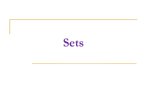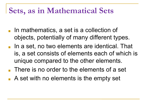#### **Sets, as in Mathematical Sets**

- In mathematics, a set is a collection of objects, potentially of many different types.
- In a set, no two elements are identical. That is, a set consists of elements each of which is unique compared to the other elements.
- There is no order to the elements of a set
- A set with no elements is the empty set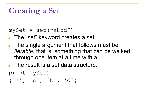## **Creating a Set**

#### $mySet = set("abcd")$

■ The "set" keyword creates a set.

- The single argument that follows must be *iterable*, that is, something that can be walked through one item at a time with a  $for.$
- The result is a set data structure:

print(mySet)

{'a', 'c', 'b', 'd'}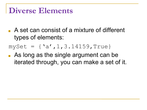#### **Diverse Elements**

- A set can consist of a mixture of different types of elements:
- $mySet = { 'a', 1, 3.14159, True }$
- As long as the single argument can be iterated through, you can make a set of it.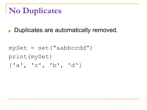## **No Duplicates**

■ Duplicates are automatically removed.

 $mySet = set("aabbccdd")$ print(mySet) {'a', 'c', 'b', 'd'}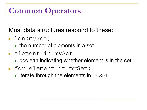## **Common Operators**

Most data structures respond to these:

- len(mySet)
	- $\Box$  the number of elements in a set
- element in mySet
	- ❑ boolean indicating whether element is in the set
- for element in mySet:
	- $\Box$  iterate through the elements in mySet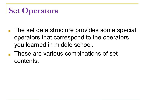## **Set Operators**

- The set data structure provides some special operators that correspond to the operators you learned in middle school.
- These are various combinations of set contents.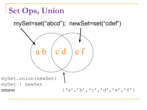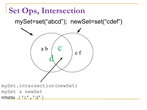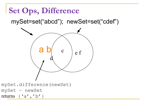# **Set Ops, Difference**

mySet=set("abcd"); newSet=set("cdef")



- mySet.difference(newSet)
- mySet newSet
- returns  $\{a', b'\}$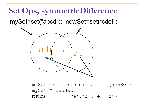**Set Ops, symmetricDifference** mySet=set("abcd"); newSet=set("cdef")



mySet.symmetric\_difference(newSet) mySet ^ newSet returns  $\{a', b', c'\}, \{b', c'\}, \{f'\}$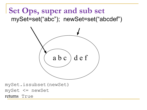#### **Set Ops, super and sub set** mySet=set("abc"); newSet=set("abcdef")



mySet.issubset(newSet) mySet <= newSet returns True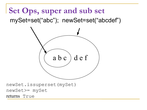#### **Set Ops, super and sub set** mySet=set("abc"); newSet=set("abcdef")



newSet.issuperset(mySet) newSet>= mySet returns True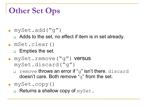#### **Other Set Ops**

- $\blacksquare$  mySet.add("q")
	- ❑ Adds to the set, no effect if item is in set already.
- mSet.clear()
	- ❑ Empties the set.
- mySet.remove("g") versus mySet.discard("g")
	- remove throws an error if "g" isn't there. discard doesn't care. Both remove "q" from the set.
- mySet.copy()
	- Returns a shallow copy of mySet.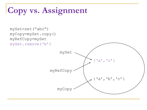## **Copy vs. Assignment**